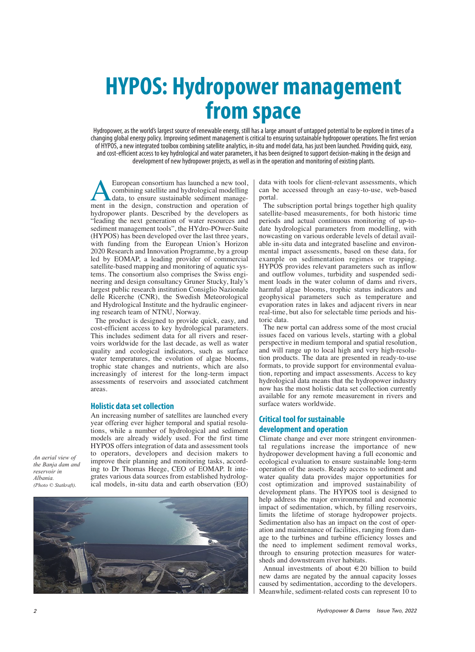## **HYPOS: Hydropower management from space**

Hydropower, as the world's largest source of renewable energy, still has a large amount of untapped potential to be explored in times of a changing global energy policy. Improving sediment management is critical to ensuring sustainable hydropower operations. The first version of HYPOS, a new integrated toolbox combining satellite analytics, in-situ and model data, has just been launched. Providing quick, easy, and cost-efficient access to key hydrological and water parameters, it has been designed to support decision-making in the design and development of new hydropower projects, as well as in the operation and monitoring of existing plants.

**ALEUTORIAN** European consortium has launched a new tool, combining satellite and hydrological modelling<br>data, to ensure sustainable sediment management in the design, construction and operation of combining satellite and hydrological modelling data, to ensure sustainable sediment managehydropower plants. Described by the developers as "leading the next generation of water resources and sediment management tools", the HYdro-POwer-Suite (HYPOS) has been developed over the last three years, with funding from the European Union's Horizon 2020 Research and Innovation Programme, by a group led by EOMAP, a leading provider of commercial satellite-based mapping and monitoring of aquatic systems. The consortium also comprises the Swiss engineering and design consultancy Gruner Stucky, Italy's largest public research institution Consiglio Nazionale delle Ricerche (CNR), the Swedish Meteorological and Hydrological Institute and the hydraulic engineering research team of NTNU, Norway.

The product is designed to provide quick, easy, and cost-efficient access to key hydrological parameters. This includes sediment data for all rivers and reservoirs worldwide for the last decade, as well as water quality and ecological indicators, such as surface water temperatures, the evolution of algae blooms, trophic state changes and nutrients, which are also increasingly of interest for the long-term impact assessments of reservoirs and associated catchment areas.

## **Holistic data set collection**

An increasing number of satellites are launched every year offering ever higher temporal and spatial resolutions, while a number of hydrological and sediment models are already widely used. For the first time HYPOS offers integration of data and assessment tools to operators, developers and decision makers to improve their planning and monitoring tasks, according to Dr Thomas Heege, CEO of EOMAP. It integrates various data sources from established hydrological models, in-situ data and earth observation (EO)

*An aerial view of the Banja dam and reservoir in Albania. (Photo © Statkraft).*



data with tools for client-relevant assessments, which can be accessed through an easy-to-use, web-based portal.

The subscription portal brings together high quality satellite-based measurements, for both historic time periods and actual continuous monitoring of up-todate hydrological parameters from modelling, with nowcasting on various orderable levels of detail available in-situ data and integrated baseline and environmental impact assessments, based on these data, for example on sedimentation regimes or trapping. HYPOS provides relevant parameters such as inflow and outflow volumes, turbidity and suspended sediment loads in the water column of dams and rivers, harmful algae blooms, trophic status indicators and geophysical parameters such as temperature and evaporation rates in lakes and adjacent rivers in near real-time, but also for selectable time periods and historic data.

The new portal can address some of the most crucial issues faced on various levels, starting with a global perspective in medium temporal and spatial resolution, and will range up to local high and very high-resolution products. The data are presented in ready-to-use formats, to provide support for environmental evaluation, reporting and impact assessments. Access to key hydrological data means that the hydropower industry now has the most holistic data set collection currently available for any remote measurement in rivers and surface waters worldwide.

## **Critical tool for sustainable development and operation**

Climate change and ever more stringent environmental regulations increase the importance of new hydropower development having a full economic and ecological evaluation to ensure sustainable long-term operation of the assets. Ready access to sediment and water quality data provides major opportunities for cost optimization and improved sustainability of development plans. The HYPOS tool is designed to help address the major environmental and economic impact of sedimentation, which, by filling reservoirs, limits the lifetime of storage hydropower projects. Sedimentation also has an impact on the cost of operation and maintenance of facilities, ranging from damage to the turbines and turbine efficiency losses and the need to implement sediment removal works, through to ensuring protection measures for watersheds and downstream river habitats.

Annual investments of about €20 billion to build new dams are negated by the annual capacity losses caused by sedimentation, according to the developers. Meanwhile, sediment-related costs can represent 10 to